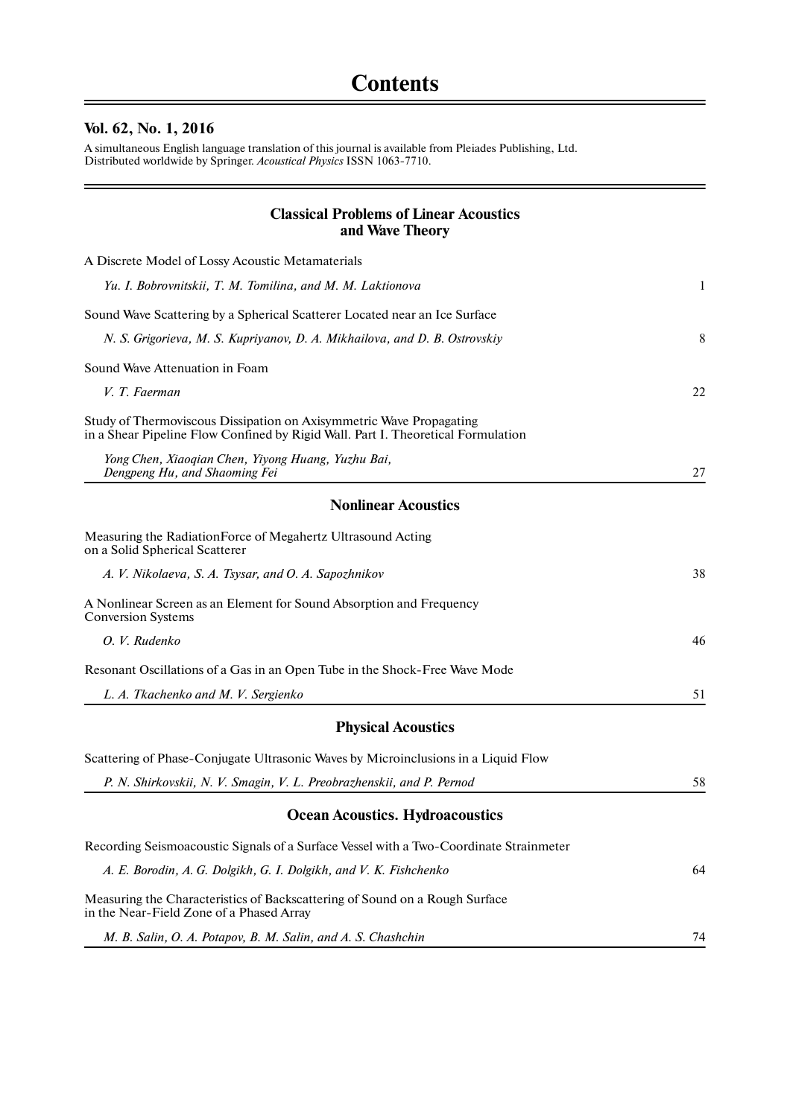## **Vol. 62, No. 1, 2016**

 $\equiv$ 

A simultaneous English language translation of this journal is available from Pleiades Publishing, Ltd. Distributed worldwide by Springer. *Acoustical Physics* ISSN 1063-7710.

## **Classical Problems of Linear Acoustics and Wave Theory**

 $=$ 

| A Discrete Model of Lossy Acoustic Metamaterials                                                                                                        |    |
|---------------------------------------------------------------------------------------------------------------------------------------------------------|----|
| Yu. I. Bobrovnitskii, T. M. Tomilina, and M. M. Laktionova                                                                                              | 1  |
| Sound Wave Scattering by a Spherical Scatterer Located near an Ice Surface                                                                              |    |
| N. S. Grigorieva, M. S. Kupriyanov, D. A. Mikhailova, and D. B. Ostrovskiy                                                                              | 8  |
| Sound Wave Attenuation in Foam                                                                                                                          |    |
| V. T. Faerman                                                                                                                                           | 22 |
| Study of Thermoviscous Dissipation on Axisymmetric Wave Propagating<br>in a Shear Pipeline Flow Confined by Rigid Wall. Part I. Theoretical Formulation |    |
| Yong Chen, Xiaoqian Chen, Yiyong Huang, Yuzhu Bai,<br>Dengpeng Hu, and Shaoming Fei                                                                     | 27 |
| <b>Nonlinear Acoustics</b>                                                                                                                              |    |
| Measuring the RadiationForce of Megahertz Ultrasound Acting<br>on a Solid Spherical Scatterer                                                           |    |
| A. V. Nikolaeva, S. A. Tsysar, and O. A. Sapozhnikov                                                                                                    | 38 |
| A Nonlinear Screen as an Element for Sound Absorption and Frequency<br><b>Conversion Systems</b>                                                        |    |
| O. V. Rudenko                                                                                                                                           | 46 |
| Resonant Oscillations of a Gas in an Open Tube in the Shock-Free Wave Mode                                                                              |    |
| L. A. Tkachenko and M. V. Sergienko                                                                                                                     | 51 |
| <b>Physical Acoustics</b>                                                                                                                               |    |
| Scattering of Phase-Conjugate Ultrasonic Waves by Microinclusions in a Liquid Flow                                                                      |    |
| P. N. Shirkovskii, N. V. Smagin, V. L. Preobrazhenskii, and P. Pernod                                                                                   | 58 |
| <b>Ocean Acoustics. Hydroacoustics</b>                                                                                                                  |    |
| Recording Seismoacoustic Signals of a Surface Vessel with a Two-Coordinate Strainmeter                                                                  |    |
| A. E. Borodin, A. G. Dolgikh, G. I. Dolgikh, and V. K. Fishchenko                                                                                       | 64 |
| Measuring the Characteristics of Backscattering of Sound on a Rough Surface<br>in the Near-Field Zone of a Phased Array                                 |    |
| M. B. Salin, O. A. Potapov, B. M. Salin, and A. S. Chashchin                                                                                            | 74 |